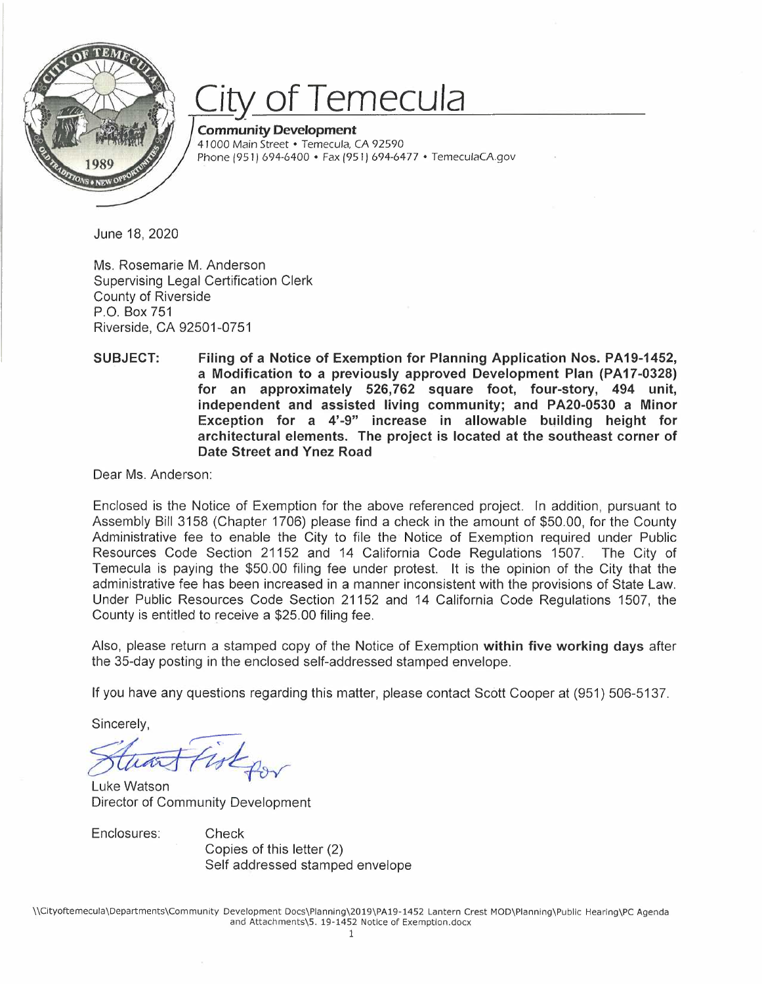

## *City* **of Temecula**

**Community Development**  41000 Main Street • *Temecula,* CA 92590 Phone (951) 694-6400 • Fax (951) 694-6477 • *TemeculaCA.gov* 

June 18, 2020

Ms. Rosemarie M. Anderson Supervising Legal Certification Clerk County of Riverside P.O. Box 751 Riverside, CA 92501-0751

**Filing of a Notice of Exemption for Planning Application Nos. PA19-1452, a Modification to a previously approved Development Plan (PA17-0328) for an approximately 526,762 square foot, four-story, 494 unit, independent and assisted living community; and PA20-0530 a Minor Exception for a 4'-9" increase in allowable building height for architectural elements. The project is located at the southeast corner of Date Street and Ynez Road SUBJECT:** 

Dear Ms. Anderson:

Enclosed is the Notice of Exemption for the above referenced project. In addition, pursuant to Assembly Bill 3158 (Chapter 1706) please find a check in the amount of \$50.00, for the County Administrative fee to enable the City to file the Notice of Exemption required under Public Resources Code Section 21152 and 14 California Code Regulations 1507. The City of Temecula is paying the \$50.00 filing fee under protest. It is the opinion of the City that the administrative fee has been increased in a manner inconsistent with the provisions of State Law. Under Public Resources Code Section 21152 and 14 California Code Regulations 1507, the County is entitled to receive a \$25.00 filing fee. Temecula is paying the<br>administrative fee has be<br>Under Public Resources<br>County is entitled to rece<br>Also, please return a sta<br>the 35-day posting in the<br>If you have any questions<br>Sincerely,<br>Sincerely,<br>Luke Watson<br>Director of

Also, please return a stamped copy of the Notice of Exemption **within five working days** after the 35-day posting in the enclosed self-addressed stamped envelope.

If you have any questions regarding this matter, please contact Scott Cooper at (951) 506-5137.

Sincerely,

In the enclosed self-addres<br>stions regarding this matte<br> $\overline{A}$ 

Luke Watson Director of Community Development

Enclosures: Check

Copies of this letter (2) Self addressed stamped envelope